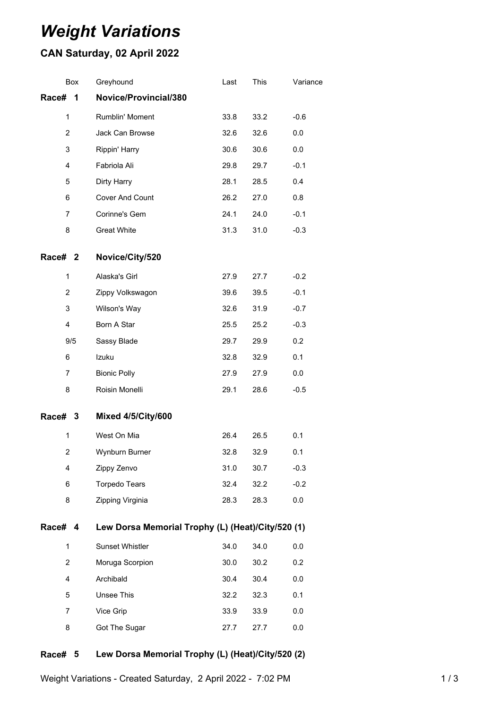# *Weight Variations*

## **CAN Saturday, 02 April 2022**

| Box            | Greyhound                                         | Last | This | Variance |  |  |
|----------------|---------------------------------------------------|------|------|----------|--|--|
| Race#<br>1     | Novice/Provincial/380                             |      |      |          |  |  |
| $\mathbf{1}$   | Rumblin' Moment                                   | 33.8 | 33.2 | $-0.6$   |  |  |
| $\overline{2}$ | Jack Can Browse                                   | 32.6 | 32.6 | 0.0      |  |  |
| 3              | Rippin' Harry                                     | 30.6 | 30.6 | 0.0      |  |  |
| 4              | Fabriola Ali                                      | 29.8 | 29.7 | $-0.1$   |  |  |
| 5              | Dirty Harry                                       | 28.1 | 28.5 | 0.4      |  |  |
| 6              | Cover And Count                                   | 26.2 | 27.0 | 0.8      |  |  |
| 7              | Corinne's Gem                                     | 24.1 | 24.0 | $-0.1$   |  |  |
| 8              | <b>Great White</b>                                | 31.3 | 31.0 | $-0.3$   |  |  |
| Race# 2        | Novice/City/520                                   |      |      |          |  |  |
| $\mathbf{1}$   | Alaska's Girl                                     | 27.9 | 27.7 | $-0.2$   |  |  |
| 2              | Zippy Volkswagon                                  | 39.6 | 39.5 | $-0.1$   |  |  |
| 3              | Wilson's Way                                      | 32.6 | 31.9 | $-0.7$   |  |  |
| 4              | Born A Star                                       | 25.5 | 25.2 | $-0.3$   |  |  |
| 9/5            | Sassy Blade                                       | 29.7 | 29.9 | 0.2      |  |  |
| 6              | Izuku                                             | 32.8 | 32.9 | 0.1      |  |  |
| 7              | <b>Bionic Polly</b>                               | 27.9 | 27.9 | 0.0      |  |  |
| 8              | Roisin Monelli                                    | 29.1 | 28.6 | $-0.5$   |  |  |
| Race# 3        | <b>Mixed 4/5/City/600</b>                         |      |      |          |  |  |
| $\mathbf{1}$   | West On Mia                                       | 26.4 | 26.5 | 0.1      |  |  |
| 2              | <b>Wynburn Burner</b>                             | 32.8 | 32.9 | 0.1      |  |  |
| 4              | Zippy Zenvo                                       | 31.0 | 30.7 | $-0.3$   |  |  |
| 6              | <b>Torpedo Tears</b>                              | 32.4 | 32.2 | $-0.2$   |  |  |
| 8              | Zipping Virginia                                  | 28.3 | 28.3 | 0.0      |  |  |
| Race# 4        | Lew Dorsa Memorial Trophy (L) (Heat)/City/520 (1) |      |      |          |  |  |
| 1              | Sunset Whistler                                   | 34.0 | 34.0 | 0.0      |  |  |
| $\overline{2}$ | Moruga Scorpion                                   | 30.0 | 30.2 | 0.2      |  |  |
| 4              | Archibald                                         | 30.4 | 30.4 | $0.0\,$  |  |  |
| 5              | Unsee This                                        | 32.2 | 32.3 | 0.1      |  |  |
| $\overline{7}$ | Vice Grip                                         | 33.9 | 33.9 | 0.0      |  |  |
| 8              | Got The Sugar                                     | 27.7 | 27.7 | 0.0      |  |  |
|                |                                                   |      |      |          |  |  |

#### **Race# 5 Lew Dorsa Memorial Trophy (L) (Heat)/City/520 (2)**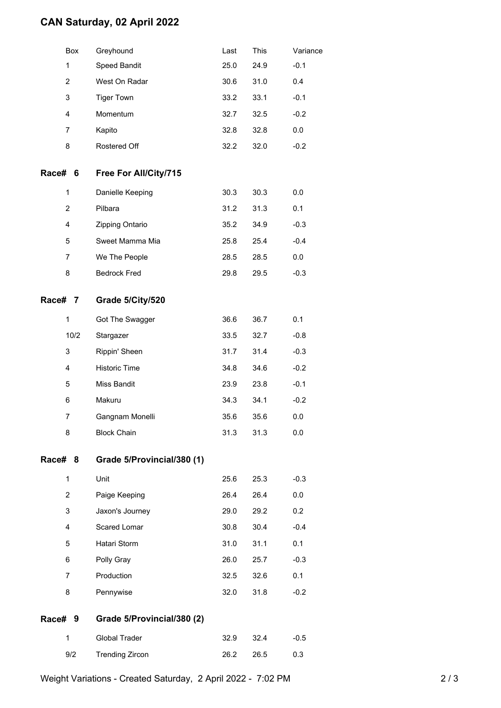## **CAN Saturday, 02 April 2022**

|                | Box  | Greyhound                  | Last | This | Variance |
|----------------|------|----------------------------|------|------|----------|
| $\mathbf{1}$   |      | Speed Bandit               | 25.0 | 24.9 | $-0.1$   |
| 2              |      | West On Radar              | 30.6 | 31.0 | 0.4      |
| 3              |      | <b>Tiger Town</b>          | 33.2 | 33.1 | $-0.1$   |
| 4              |      | Momentum                   | 32.7 | 32.5 | $-0.2$   |
| 7              |      | Kapito                     | 32.8 | 32.8 | 0.0      |
| 8              |      | Rostered Off               | 32.2 | 32.0 | $-0.2$   |
| Race# 6        |      | Free For All/City/715      |      |      |          |
| $\mathbf{1}$   |      | Danielle Keeping           | 30.3 | 30.3 | 0.0      |
| $\overline{2}$ |      | Pilbara                    | 31.2 | 31.3 | 0.1      |
| 4              |      | Zipping Ontario            | 35.2 | 34.9 | $-0.3$   |
| 5              |      | Sweet Mamma Mia            | 25.8 | 25.4 | $-0.4$   |
| 7              |      | We The People              | 28.5 | 28.5 | 0.0      |
| 8              |      | <b>Bedrock Fred</b>        | 29.8 | 29.5 | $-0.3$   |
| Race# 7        |      | Grade 5/City/520           |      |      |          |
| 1              |      | Got The Swagger            | 36.6 | 36.7 | 0.1      |
|                | 10/2 | Stargazer                  | 33.5 | 32.7 | $-0.8$   |
| 3              |      | Rippin' Sheen              | 31.7 | 31.4 | $-0.3$   |
| 4              |      | <b>Historic Time</b>       | 34.8 | 34.6 | $-0.2$   |
| 5              |      | Miss Bandit                | 23.9 | 23.8 | $-0.1$   |
| 6              |      | Makuru                     | 34.3 | 34.1 | $-0.2$   |
| 7              |      | Gangnam Monelli            | 35.6 | 35.6 | 0.0      |
| 8              |      | <b>Block Chain</b>         | 31.3 | 31.3 | 0.0      |
| Race# 8        |      | Grade 5/Provincial/380 (1) |      |      |          |
| 1              |      | Unit                       | 25.6 | 25.3 | $-0.3$   |
| $\overline{2}$ |      | Paige Keeping              | 26.4 | 26.4 | 0.0      |
| 3              |      | Jaxon's Journey            | 29.0 | 29.2 | 0.2      |
| 4              |      | Scared Lomar               | 30.8 | 30.4 | $-0.4$   |
| 5              |      | Hatari Storm               | 31.0 | 31.1 | 0.1      |
| 6              |      | Polly Gray                 | 26.0 | 25.7 | $-0.3$   |
| 7              |      | Production                 | 32.5 | 32.6 | 0.1      |
| 8              |      | Pennywise                  | 32.0 | 31.8 | $-0.2$   |
| Race# 9        |      | Grade 5/Provincial/380 (2) |      |      |          |
| $\mathbf{1}$   |      | <b>Global Trader</b>       | 32.9 | 32.4 | $-0.5$   |
| 9/2            |      | <b>Trending Zircon</b>     | 26.2 | 26.5 | 0.3      |
|                |      |                            |      |      |          |

Weight Variations - Created Saturday, 2 April 2022 - 7:02 PM 2 2 / 3